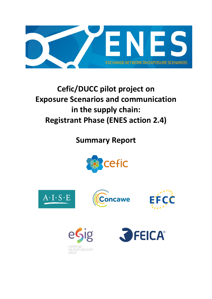

# **Cefic/DUCC pilot project on Exposure Scenarios and communication in the supply chain: Registrant Phase (ENES action 2.4)**

**Summary Report**











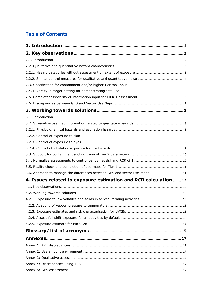# **Table of Contents**

| 4. Issues related to exposure estimation and RCR calculation  12 |  |
|------------------------------------------------------------------|--|
|                                                                  |  |
|                                                                  |  |
|                                                                  |  |
|                                                                  |  |
|                                                                  |  |
|                                                                  |  |
|                                                                  |  |
|                                                                  |  |
|                                                                  |  |
|                                                                  |  |
|                                                                  |  |
|                                                                  |  |
|                                                                  |  |
|                                                                  |  |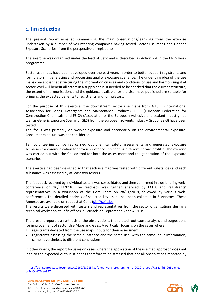# <span id="page-2-0"></span>**1. Introduction**

The present report aims at summarising the main observations/learnings from the exercise undertaken by a number of volunteering companies having tested Sector use maps and Generic Exposure Scenarios, from the perspective of registrants.

The exercise was organised under the lead of Cefic and is described as Action 2.4 in the ENES work programme<sup>1</sup>.

Sector use maps have been developed over the past years in order to better support registrants and formulators in generating and processing quality exposure scenarios. The underlying idea of the use maps concept is that structuring the information on uses and conditions of use and harmonising it at sector level will benefit all actors in a supply chain. It needed to be checked that the current structure, the extent of harmonisation, and the guidance available for the Use maps published are suitable for bringing the expected benefits to registrants and formulators.

For the purpose of this exercise, the downstream sector use maps from A.I.S.E. (International Association for Soaps, Detergents and Maintenance Products), EFCC (European Federation for Construction Chemicals) and FEICA (Association of the European Adhesive and sealant industry), as well as Generic Exposure Scenario (GES) from the European Solvents Industry Group (ESIG) have been tested.

The focus was primarily on worker exposure and secondarily on the environmental exposure. Consumer exposure was not considered.

Ten volunteering companies carried out chemical safety assessments and generated Exposure scenarios for communication for seven substances presenting different hazard profiles. The exercise was carried out with the Chesar tool for both the assessment and the generation of the exposure scenarios.

The exercise had been designed so that each use map was tested with different substances and each substance was assessed by at least two testers.

The feedback received by individual testers was consolidated and then confirmed in a de-briefing webconference on 16/11/2018. The feedback was further analysed by ECHA and registrants' representatives in a workshop of the Core Team on 28/01/2019, followed by various webconferences*.* The detailed analysis of selected key issues has been collected in 6 Annexes. These Annexes are available on request at Cefic [\(sja@cefic.be\)](mailto:sja@cefic.be).

The results were discussed with testers and representatives from the sector organisations during a technical workshop at Cefic offices in Brussels on September 3 and 4, 2019.

The present report is a synthesis of the observations, the related root cause analysis and suggestions for improvement of sector Use Maps and GESs. A particular focus is on the cases where

- 1. registrants deviated from the use maps inputs for their assessment;
- 2. registrants assessing the same substance and the same use, with the same input information, came nevertheless to different conclusions.

In other words, the report focusses on cases where the application of the use map approach **does not lead** to the expected output. It needs therefore to be stressed that not all observations reported by



<sup>1</sup>[https://echa.europa.eu/documents/10162/23915781/enes\\_work\\_programme\\_to\\_2020\\_en.pdf/7862a4b5-0e5b-e4ea](https://echa.europa.eu/documents/10162/23915781/enes_work_programme_to_2020_en.pdf/7862a4b5-0e5b-e4ea-c47c-6caf72cee847)[c47c-6caf72cee847](https://echa.europa.eu/documents/10162/23915781/enes_work_programme_to_2020_en.pdf/7862a4b5-0e5b-e4ea-c47c-6caf72cee847)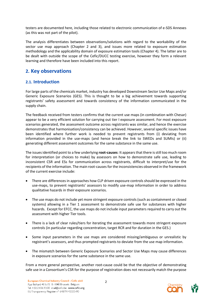testers are documented here, including those related to electronic communication of e-SDS Annexes (as this was not part of the pilot).

The analysis differentiates between observations/solutions with regard to the workability of the sector use map approach (Chapter 2 and 3), and issues more related to exposure estimation methodology and the applicability domain of exposure estimation tools (Chapter 4). The latter are to be dealt with outside the scope of the Cefic/DUCC testing exercise, however they form a relevant learning and therefore have been included into this report.

# <span id="page-3-0"></span>**2. Key observations**

### <span id="page-3-1"></span>**2.1. Introduction**

For large parts of the chemicals market, industry has developed Downstream Sector Use Maps and/or Generic Exposure Scenarios (GES). This is thought to be a big achievement towards supporting registrants' safety assessment and towards consistency of the information communicated in the supply chain.

The feedback received from testers confirms that the current use maps (in combination with Chesar) appear to be a very efficient solution for carrying out tier I exposure assessment. For most exposure scenarios generated, the assessment outcome across registrants was similar, and hence the exercise demonstrates that harmonisation/consistency can be achieved. However, several specific issues have been identified where further work is needed to prevent registrants from (i) deviating from information provided in the use-maps (and hence break the link to SWEDs and SUMIs) or (ii) generating different assessment outcomes for the same substance in the same use.

The issues identified point to a few underlying **root-causes**: It appearsthat there is still too much room for interpretation (or choices to make) by assessors on how to demonstrate safe use, leading to inconsistent CSR and ESs for communication across registrants, difficult to interpret/use for the recipients of the information. The main root-causes for the inconsistencies observed in the framework of the current exercise include:

- There are differences in approaches how CLP driven exposure controls should be expressed in the use-maps, to prevent registrants' assessors to modify use-map information in order to address qualitative hazards in their exposure scenarios.
- The use maps do not include yet more stringent exposure controls (such as containment or closed systems) allowing in a Tier 1 assessment to demonstrate safe use for substances with higher hazards. Except for EFCC, the use maps do not include input parameters required to carry out the assessment with higher Tier tools.
- There is a lack of clear rules/tiers for iterating the assessment towards more stringent exposure controls (in particular regarding concentration, target RCR and for duration in the GES.)
- Some input parameters in the use maps are considered missing/ambiguous or unrealistic by registrant's assessors, and thus prompted registrants to deviate from the use map information.
- The mismatch between Generic Exposure Scenarios and Sector Use Maps may cause differences in exposure scenarios for the same substance in the same use.

From a more general perspective, another root-cause could be that the objective of demonstrating safe use in a Consortium's CSR for the purpose of registration does not necessarily match the purpose

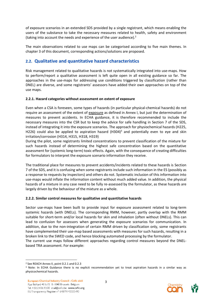of exposure scenarios in an extended SDS provided by a single registrant, which means enabling the users of the substance to take the necessary measures related to health, safety and environment (taking into account the needs and experience of the user audience). $2$ 

The main observations related to use maps can be categorised according to five main themes. In chapter 3 of this document, corresponding actions/solutions are proposed.

# <span id="page-4-0"></span>**2.2. Qualitative and quantitative hazard characteristics**

Risk management related to qualitative hazards is not systematically integrated into use-maps. How to perform/report a qualitative assessment is left quite open in all existing guidance so far. The approaches in the use-maps for addressing use conditions triggered by classification (rather than DNEL) are diverse, and some registrants' assessors have added their own approaches on top of the use maps.

#### <span id="page-4-1"></span>**2.2.1. Hazard categories without assessment on extent of exposure**

Even when a CSA is foreseen, some types of hazards (in particular physical-chemical hazards) do not require an assessment of the extent of exposure as defined in Annex I, but just the determination of measures to prevent accidents. In ECHA guidance, it is therefore recommended to include the necessary measures into the CSR but to keep the advice for safe handling in Section 7 of the SDS, instead of integrating it into the exposure scenarios. The approach for physiochemical hazards (H225, H226) could also be applied to aspiration hazard (H304)<sup>3</sup> and potentially even to eye and skin irritation/corrosion (H314, H315, H318, H319)

During the pilot, some registrants limited concentrations to prevent classification of the mixture for such hazards instead of determining the highest safe concentration based on the quantitative assessment for (systemic long-term) toxic effects. Again, with the consequence of creating difficulties for formulators to interpret the exposure scenario information they receive.

The traditional place for measures to prevent accidents/incidents related to these hazards is Section 7 of the SDS, and it is confusing when some registrants include such information in the ES (possibly as a response to requests by inspectors) and others do not. Systematic inclusion of this information into use-maps would inflate the information content without much added value. In addition, the physical hazards of a mixture in any case need to be fully re-assessed by the formulator, as these hazards are largely driven by the behaviour of the mixture as a whole.

#### <span id="page-4-2"></span>**2.2.2. Similar control measures for qualitative and quantitative hazards**

Sector use-maps have been built to provide input for exposure assessment related to long-term systemic hazards (with DNELs). The corresponding RMM, however, partly overlap with the RMM suitable for short-term and/or local hazards for skin and inhalation (often without DNELs). This can lead to confusion for assessors when generating the exposure scenarios for communication. In addition, due to the non-integration of certain RMM driven by classification only, some registrants have complemented their use-map based assessments with measures for such hazards, resulting in a broken link to the SWED code, and hence blocking automated processing by the formulator. The current use maps follow different approaches regarding control measures beyond the DNEL-

based TRA assessment. For example:



<sup>2</sup> See REACH Annex II, point 0.2.1 and 0.2.3

<sup>3</sup> Note: In ECHA Guidance there is no explicit recommendation yet to treat aspiration hazards in a similar way as physicochemical hazards.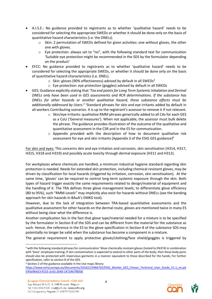- A.I.S.E.: No guidance provided to registrants as to whether 'qualitative hazard' needs to be considered for selecting the appropriate SWEDs or whether it should be done only on the basis of quantitative hazard characteristics (i.e. the DNELs).
	- $\circ$  Skin: 2 permutation of SWEDs defined for given activities: one without gloves, the other one with gloves.
	- $\circ$  Eye protection: always set to "no", with the following standard text for communication 'Suitable eye protection might be recommended in the SDS by the formulator depending on the product'
- EFCC: No guidance provided to registrants as to whether 'qualitative hazard' needs to be considered for selecting the appropriate SWEDs, or whether it should be done only on the basis of quantitative hazard characteristics (i.e. DNEL).
	- $\circ$  Skin: gloves (90% effectiveness) advised by default in all SWEDs<sup>4</sup>
	- o Eye protection: eye protection (goggles) advised by default in all SWEDs
- GES: Guidance explicitly stating that *'Tox end points for Long Term Systemic Inhalation and Dermal DNELs only have been used in GES assessments and RCR determinations. If the substance has DNELs for other hazards or another qualitative hazard, these substance effects must be additionally addressed by Users.<sup>5</sup>* 'Standard phrases for skin and eye irritants added by default in all workers Contributing scenarios. It is up to the registrant's assessor to remove it if not relevant.
	- $\circ$  Skin/eye irritants: qualitative RMM phrases generically added to all CAs for each GES as a CoU ('General measures'). When not applicable, the assessor must bulk delete the phrase. The guidance provides illustration of the outcome of the qualitative and quantitative assessment in the CSR and in the ES for communication.
	- $\circ$  Appendix provided with the description of how to document qualitative risk assessment for eye and skin irritants (Appendix 3 of the ESIG GES guidance)<sup>6</sup>

For skin and eyes: This concerns skin and eye irritation and corrosion, skin sensitisation (H314, H317, H315, H318 and H319) and possibly acute toxicity through dermal exposure (H311 and H312).

For workplaces where chemicals are handled, a minimum industrial hygiene standard regarding skin protection is needed. Needs for extended skin protection, including chemical resistant gloves, may be driven by classification for local hazards (triggered by irritation, corrosion, skin sensitisation). At the same time, 'gloves' can be required to control long-term systemic exposure through the skin. Both types of hazard trigger exactly the same requirements related to design/material of equipment and the handling of it. The TRA defines three glove management levels; to differentiate glove efficiency (80 to 95%), such "RMM-Levels" may implicitly also exist for hazards without DNELs (see the banding approach for skin hazards in BAuA's EMKG tool).

However, due to the lack of integration between TRA-based quantitative assessments and the qualitative assessment for other hazards on the dermal route, gloves are mentioned twice in many ES without being clear what the difference is.

Another complication lies in the fact that glove type/material needed for a mixture is to be specified by the formulator in Section 8 of the SDS and can be different from the material for the substance as such. Hence, the reference in the ES to the glove specification in Section 8 of the substance SDS may potentially no longer be valid when the substance has become a component in a mixture.

The general requirement to apply protective gloves/clothing/face shield/goggles is triggered by

 $\overline{a}$ 



<sup>4</sup> with the following standard phrases for communication 'Wear chemically resistant gloves (tested to EN374) in combination with 'basic' employee training; If skin contamination is expected to extend to other parts of the body, then these body parts should also be protected with impervious garments in a manner equivalent to those described for the hands; For further specification, refer to section 8 of the SDS.

<sup>5</sup> Section 2 of the guidance available in the Use maps library:

[https://www.echa.europa.eu/documents/10162/23966702/ESIG\\_Worker\\_GES\\_Chesar\\_Technical\\_User\\_Guide\\_V1.1\\_en.pd](https://www.echa.europa.eu/documents/10162/23966702/ESIG_Worker_GES_Chesar_Technical_User_Guide_V1.1_en.pdf/45e9b423-9153-2c42-2640-1472467f8058) [f/45e9b423-9153-2c42-2640-1472467f8058](https://www.echa.europa.eu/documents/10162/23966702/ESIG_Worker_GES_Chesar_Technical_User_Guide_V1.1_en.pdf/45e9b423-9153-2c42-2640-1472467f8058)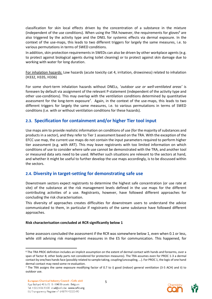classification for skin local effects driven by the concentration of a substance in the mixture (independent of the use conditions). When using the TRA however, the requirements for gloves<sup>6</sup> are also triggered by the activity type and the DNEL for systemic effects via dermal exposure. In the context of the use-maps, this leads to two different triggers for largely the same measures, i.e. to various permutations in terms of SWED conditions.

In addition, skin protection requirements in SWEDs can also be driven by other workplace agents (e.g. to protect against biological agents during toilet cleaning) or to protect against skin damage due to working with water for long duration.

For inhalation hazards: Low hazards (acute toxicity cat 4, irritation, drowsiness) related to inhalation (H332, H335, H336)

For some short-term inhalation hazards without DNELs, '*outdoor use or well-ventilated areas'* is foreseen by default via assignment of the relevant P-statement (independent of the activity type and other use-conditions). This may overlap with the ventilation conditions determined by quantitative assessment for the long-term exposure<sup>7</sup>. Again, in the context of the use-maps, this leads to two different triggers for largely the same measures, i.e. to various permutations in terms of SWED conditions (i.e. with or without ventilation conditions for these hazards).

## <span id="page-6-0"></span>**2.3. Specification for containment and/or higher Tier tool input**

Use maps aim to provide realistic information on conditions of use (for the majority of substances and products in a sector), and they refer to Tier 1 assessment based on the TRA. With the exception of the EFCC use map, the current use maps do not contain the input parameters required to perform higher tier assessment (e.g. with ART). This may leave registrants with too limited information on which conditions of use to consider where safe use cannot be demonstrated with the TRA, and another tool or measured data sets need to be used. Whether such situations are relevant to the sectors at hand, and whether it might be useful to further develop the use maps accordingly, is to be discussed within the sectors.

### <span id="page-6-1"></span>**2.4. Diversity in target-setting for demonstrating safe use**

Downstream sectors expect registrants to determine the highest safe concentration (or use rate at site) of the substance at the risk management levels defined in the use maps for the different contributing activities of a use. Registrants, however, have followed different approaches for concluding the risk characterisation.

This diversity of approaches creates difficulties for downstream users to understand the advice communicated to them, in particular if registrants of the same substance have followed different approaches.

#### **Risk characterisation concluded at RCR significantly below 1**

Some assessors concluded the assessment if the RCR was somewhere below 1, even when 0.1 or less, while still advising risk management measures in the ES for communication. This happened, for



<sup>6</sup> The TRA PROC definition includes an implicit assumption on the extent of dermal contact with hands and forearms, over a span of factor 8; other body parts not considered for protection measures). The TRA assumes even for PROC 1-3 a dermal contact by one/two hands face (possibly related to sample taking, coupling/uncoupling, …). For PROC 1, the logic of one hand dermal contact may need some re-evaluation.

<sup>7</sup> The TRA assigns the same exposure modifying factor of 0.7 to i) good (indoor) general ventilation (3-5 ACH) and ii) to outdoor use.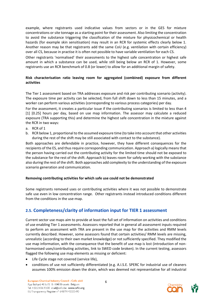example, where registrants used indicative values from sectors or in the GES for mixture concentrations or site tonnage as a starting point for their assessment. Also limiting the concentration to avoid the substance triggering the classification of the mixture for physicochemical or health hazards (for example skin sensitisation) may result in an RCR for systemic effects clearly below 1. Another reason may be that registrants add the same CoU (e.g. ventilation with certain efficiency) over all CS, because in practise it is often not possible to have variable ventilation for each CS.

Other registrants 'normalised' their assessments to the highest safe concentration or highest safe amount in which a substance can be used, while still being below an RCR of 1. However, some registrants use an RCR benchmark of 0.8 (or lower) to allow for an additional margin of safety.

#### **Risk characterisation ratio leaving room for aggregated (combined) exposure from different activities**

The Tier 1 assessment based on TRA addresses exposure and risk per contributing scenario (activity). The exposure time per activity can be selected, from full shift down to less than 15 minutes, and a worker can perform various activities (corresponding to various process categories) per day.

For the assessment, it creates a particular issue if the contributing scenarios is limited to less than 4 [1] [0.25] hours per day, based on use map information. The assessor may calculate a reduced exposure (TRA supporting this) and determine the highest safe concentration in the mixture against the RCR in two ways:

- a. RCR of 1
- b. RCR below 1, proportional to the assumed exposure time (to take into account that other activities during the rest of the shift may be still associated with contact to the substance).

Both approaches are defendable in practice, however, they have different consequences for the recipients of the ES, and thus require corresponding communication. Approach a) logically means that the person having carried out the contributing activity for the limited time should not be exposed to the substance for the rest of the shift. Approach b) leaves room for safely working with the substance also during the rest of the shift. Both approaches add complexity to the understanding of the exposure scenario generation and communication.

#### **Removing contributing activities for which safe use could not be demonstrated**

Some registrants removed uses or contributing activities where it was not possible to demonstrate safe use even in low concentration range. Other registrants instead introduced conditions different from the conditions in the use-map.

# <span id="page-7-0"></span>**2.5. Completeness/clarity of information input for TIER 1 assessment**

Current sector use maps aim to provide at least the full set of information on activities and conditions of use enabling Tier 1 assessments. Assessors reported that in general all assessment inputs required to perform an assessment with TRA are present in the use map for the activities and RMM levels currently described. However, some assessors found that certain activities/ RMM levels are missing, unrealistic (according to their own market knowledge) or not sufficiently specified. They modified the use map information, with the consequence that the benefit of use map is lost (introduction of nonharmonised uses/contributing activities, link to SWED code broken). In the current testing, assessors flagged the following use map elements as missing or deficient:

- Life Cycle stage not covered (service life),
- conditions of use not sufficiently differentiated (e.g. A.I.S.E. SPERC for industrial use of cleaners assumes 100% emission down the drain, which was deemed not representative for all industrial

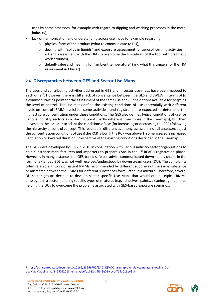uses by some assessors, for example with regard to dipping and washing processes in the metal industry),

- lack of harmonisation and understanding across use maps for example regarding
	- physical form of the product (what to communicate to DU),
	- $\circ$  dealing with "solids in liquids" and exposure assessment for aerosol forming activities in a Tier 1 assessment with the TRA (to overcome the limitations of the tool with pragmatic work arounds),
	- $\circ$  default-value and meaning for "ambient temperature" (and what this triggers for the TRA assessment in Chesar).

## <span id="page-8-0"></span>**2.6. Discrepancies between GES and Sector Use Maps**

The uses and contributing activities addressed in GES and in sector use-maps have been mapped to each other<sup>8</sup>. However, there is still a lack of convergence between the GES and SWEDs in terms of (i) a common starting point for the assessment of the same use and (ii) the options available for adapting the level of control. The use-maps define the existing conditions of use (potentially with different levels on control [RMM levels] for some activities) and registrants are expected to determine the highest safe concentration under these conditions. The GES also defines typical conditions of use for various industry sectors as a starting point (partly different from those in the use-maps), but then leaves it to the assessor to adapt the conditions of use (for increasing or decreasing the RCR) following the hierarchy of control concept. This resulted in differences among assessors: not all assessors adjust the concentration/conditions of use if the RCR is low. If the RCR was above 1, some assessors increased ventilation or lowered duration, irrespective of the existing conditions described in the use-map.

The GES were developed by ESIG in 2010 in consultation with various industry sector organizations to help substance manufacturers and importers to prepare CSAs in the 1<sup>st</sup> REACH registration phase. However, in many instances the GES-based safe use advice communicated down supply chains in the form of extended SDS was not well received/understood by downstream users (DU). The complaints often related e.g. to inconsistent RMMs recommended by different suppliers of the same substance or mismatch between the RMMs for different substances formulated in a mixture. Therefore, several DU sector groups decided to develop sector specific Use Maps that would outline typical RMMs employed in a sector handling specific types of mixtures (e.g. adhesives, paints, cleaning agents), thus helping the DUs to overcome the problems associated with GES-based exposure scenarios.

**.** 8[https://echa.europa.eu/documents/10162/23966702/ESIG\\_ESVOC\\_usemap-overviewtemplate\\_showing\\_DU-](https://echa.europa.eu/documents/10162/23966702/ESIG_ESVOC_usemap-overviewtemplate_showing_DU-UseMapMapping_v1.2_25092018_en.xlsx/b6fe1b12-b4f8-5e01-cbcb-714a016e69f3)[UseMapMapping\\_v1.2\\_25092018\\_en.xlsx/b6fe1b12-b4f8-5e01-cbcb-714a016e69f3](https://echa.europa.eu/documents/10162/23966702/ESIG_ESVOC_usemap-overviewtemplate_showing_DU-UseMapMapping_v1.2_25092018_en.xlsx/b6fe1b12-b4f8-5e01-cbcb-714a016e69f3)

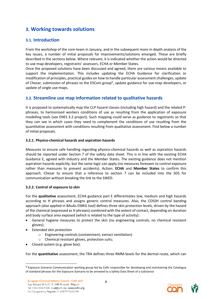# <span id="page-9-0"></span>**3. Working towards solutions**

# <span id="page-9-1"></span>**3.1. Introduction**

From the workshop of the core-team in January, and in the subsequent more in-depth analysis of the key issues, a number of initial proposals for improvements/solutions emerged. These are briefly described in the sections below. Where relevant, it is indicated whether the action would be directed to use-map developers, registrants' assessors, ECHA or Member States.

Once the proposed solutions have been discussed and agreed, there are various means available to support the implementation. This includes updating the ECHA Guidance for clarification or modification of principles, practical guides on how to handle particular assessment challenges, update of Chesar, submission of phrases to the ESCom group<sup>9</sup>, update guidance for use-map developers, or update of single use-maps.

# <span id="page-9-2"></span>**3.2. Streamline use map information related to qualitative hazards**

It is proposed to systematically map the CLP hazard classes (including high hazard) and the related Pphrases, to harmonised workers conditions of use as resulting from the application of exposure modelling tools (see ENES 3.2 project). Such mapping could serve as guidance to registrants so that they can see in which cases they need to complement the conditions of use resulting from the quantitative assessment with conditions resulting from qualitative assessment. Find below a number of initial proposals.

#### <span id="page-9-3"></span>**3.2.1. Physico-chemical hazards and aspiration hazards**

Measures to ensure safe handling regarding physico-chemical hazards as well as aspiration hazards should be reported under Section 7 of the safety data sheet. This is in line with the existing ECHA Guidance E, agreed with industry and the Member States. The existing guidance does not mention aspiration hazards explicitly, but the same logic can apply (no measures foreseen to control exposure rather than measures to prevent accidents). Action: **ECHA** and **Member States** to confirm this approach. Chesar to ensure that a reference to section 7 can be included into the SDS for communication without breaking the link to the SWED.

#### <span id="page-9-4"></span>**3.2.2. Control of exposure to skin**

For the **qualitative** assessment, ECHA guidance part E differentiates low, medium and high hazards according to H phrases and assigns generic control measures. Also, the COSSH control banding approach (also applied in BAuAs EMKG tool) defines three skin protection levels, driven by the hazard of the chemical (expressed as H phrases) combined with the extent of contact, depending on duration and body surface area exposed (which is related to the type of activity):

- General hygiene measures to protect the skin (no engineering controls; no chemical resistant gloves);
- Extended skin protection

**.** 

- o Engineering controls (containment, extract ventilation)
- o Chemical resistant gloves, protection suits;
- Closed system (e.g. glove box).

For the **quantitative** assessment, the TRA defines three RMM-levels for the dermal route, which can



<sup>&</sup>lt;sup>9</sup> Exposure Scenario Communication working group led by Cefic responsible for developing and maintaining the Catalogue of standard phrases for the Exposure Scenario to be annexed to a Safety Data Sheet of a substance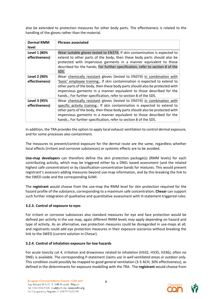also be extended to protection measures for other body parts. The effectiveness is related to the handling of the gloves rather than the material.

| <b>Dermal RMM</b><br>level            | <b>Phrases associated</b>                                                                                                                                                                                                                                                                                                                                                           |
|---------------------------------------|-------------------------------------------------------------------------------------------------------------------------------------------------------------------------------------------------------------------------------------------------------------------------------------------------------------------------------------------------------------------------------------|
| Level 1 (80%<br>effectiveness)        | Wear suitable gloves tested to EN374; If skin contamination is expected to<br>extend to other parts of the body, then these body parts should also be<br>protected with impervious garments in a manner equivalent to those<br>described for the hands; For further specification, refer to section 8 of the<br>SDS.                                                                |
| <b>Level 2 (90%</b><br>effectiveness) | Wear chemically resistant gloves (tested to EN374) in combination with<br>'basic' employee training.; If skin contamination is expected to extend to<br>other parts of the body, then these body parts should also be protected with<br>impervious garments in a manner equivalent to those described for the<br>hands.; For further specification, refer to section 8 of the SDS.  |
| Level 3 (95%<br>effectiveness)        | Wear chemically resistant gloves (tested to EN374) in combination with<br>specific activity training.; If skin contamination is expected to extend to<br>other parts of the body, then these body parts should also be protected with<br>impervious garments in a manner equivalent to those described for the<br>hands.; For further specification, refer to section 8 of the SDS. |

In addition, the TRA provides the option to apply local exhaust ventilation to control dermal exposure, and for some processes also containment.

The measures to prevent/control exposure for the dermal route are the same, regardless whether local effects (irritant and corrosive substances) or systemic effects are to be avoided.

**Use-map developers** can therefore define the skin protection package(s) (RMM levels) for each contributing activity, which may be triggered either by a DNEL based assessment (and the related highest safe concentration) or by classification-concentration bands for mixtures. This would prevent registrant's assessors adding measures beyond use-map information, and by this breaking the link to the SWED code and the corresponding SUMI.

The **registrant** would choose from the use-map the RMM level for skin protection required for the hazard profile of the substance, corresponding to a maximum safe concentration. **Chesar** can support such further integration of qualitative and quantitative assessment with H-statement-triggered rules.

#### <span id="page-10-0"></span>**3.2.3. Control of exposure to eyes**

For irritant or corrosive substances also standard measures for eye and face protection would be defined per activity in the use map, again different RMM levels may apply depending on hazard and type of activity. As an alternative, eye protection measures could be disregarded in use-maps at all, and registrants could add eye protection measures in their exposure scenarios without breaking the link to the SWED (current solution in Chesar).

#### <span id="page-10-1"></span>**3.2.4. Control of inhalation exposure for low hazards**

For acute toxicity cat 4, irritation and drowsiness related to inhalation (H332, H335, H336), often no DNEL is available. The corresponding P-statement claims *use in well ventilated areas or outdoor only.*  This condition could possibly be mapped to good general ventilation (3-5 ACH; 30% effectiveness), as defined in the determinants for exposure modelling with the TRA. The **registrant** would choose from

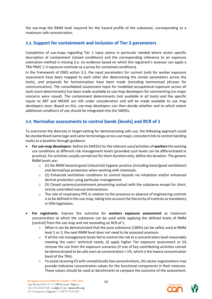the use-map the RMM level required for the hazard profile of the substance, corresponding to a maximum safe concentration.

## <span id="page-11-0"></span>**3.3. Support for containment and inclusion of Tier 2 parameters**

Completion of use-maps regarding Tier 1 input seems in particular needed where sector specific description of containment (closed conditions) and the corresponding reference to an exposure estimation method is missing (i.e. no evidence based on which the registrant's assessor can apply a TRA PROC 1-3 exposure estimate as a proxy for contained conditions).

In the framework of ENES action 3.2, the input parameters for current tools for worker exposure assessment have been mapped to each other (for determining the similar parameters across the tools), and proposals for harmonization have been made (including harmonised phrases for communication). The consolidated assessment input for modelled occupational exposure across all tools (core determinants) has been made available to use-map developers for commenting (no major concerns were raised). The containment determinants (not available in all tools) and the specific inputs to ART and MEASE are still under consideration and will be made available to use map developers soon. Based on this, use-map developers can then decide whether and to which extent additional conditions of use should be integrated into the SWEDs.

# <span id="page-11-1"></span>**3.4. Normalise assessments to control bands [levels] and RCR of 1**

To overcome the diversity in target-setting for demonstrating safe use, the following approach could be standardised (same logic and same terminology across use maps; consistent link to control-banding tools) as a baseline through guidance:

- **For use-map developers**: Define (in SWEDs) for the relevant uses/activities of **workers** the existing use conditions at different risk management levels (provided such levels can be differentiated in practice). For activities usually carried out for short duration only, define the duration. The generic RMM levels are:
	- $\circ$  (1) No RMM beyond good (industrial) hygiene practice (including basic/good ventilation) and dermal/eye protection when working with chemicals.
	- $\circ$  (2) Enhanced ventilation conditions to control hazards via inhalation and/or enhanced dermal protection using particular management.
	- $\circ$  (3) Closed systems/containment preventing contact with the substance except for short, strictly controlled manual interventions.
	- $\circ$  The role of respiratory PPE in relation to the presence or absence of engineering controls is to be defined in the use-map, taking into account the hierarchy of controls as mandatory in OSH legislation.
- **For registrants**: Express the outcome for **workers exposure assessment** as maximum concentration at which the substance can be used while applying the defined levels of RMM [control] from the use map and not exceeding an RCR of 1.
	- $\circ$  When it can be demonstrated that the pure substance (100%) can be safely used at RMM level 1 or 2, the next RMM level does not need to be assessed anymore.
	- $\circ$  If all the risk management levels fail to control the risk at a concentration level reasonably meeting the users' technical needs, (i) apply higher Tier exposure assessment or (ii) remove the use from the exposure scenarios (if one of key contributing activities cannot be demonstrated to be safe even at concentration < 1%, which is the lowest concentration band of the TRA).
	- $\circ$  To avoid receiving ES with unrealistically low concentrations, DU sector organisations may provide indicative concentration values for the functional components in their mixtures. These values should be used as benchmarks to compare the outcome of the assessment,

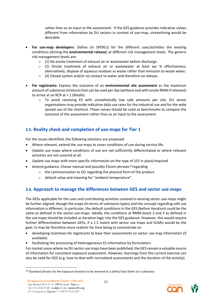rather than as an input to the assessment. If the GES guidance provides indicative values different from information by DU sectors in context of use-map, streamlining would be desirable.

- **For use-map developers**: Define (in SPERCs) for the different uses/activities the existing conditions (driving the **environmental release**) at different risk management levels. The generic risk management levels are:
	- o (1) No onsite treatment of exhaust air or wastewater before discharge
	- o (2) Onsite treatment of exhaust air or wastewater at least xyz % effectiveness; alternatively, dispose of aqueous residues as waste rather than emission to waste water;
	- o (3) Closed system and/or no contact to water and therefore no release.
- **For registrants:** Express the outcome of an **environmental site assessment** as the maximum amount of substance [mixture] that can be used per day (without and with onsite RMM if relevant) to arrive at an RCR at  $<$  1 (Msafe).
	- o To avoid receiving ES with unrealistically low safe amounts per site, DU sector organisations may provide indicative daily use rates for the industrial use and for the wide spread use of the chemical. These values should be used as benchmarks to compare the outcome of the assessment rather than as an input to the assessment.

# <span id="page-12-0"></span>**3.5. Reality check and completion of use-maps for Tier 1**

For the issues identified, the following solutions are proposed:

- Where relevant, extend the use maps to cover conditions of use during service life.
- Update use maps where conditions of use are not sufficiently differentiated or where relevant activities are not covered at all.
- Update use maps with more specific information on the type of LEV in place/required
- Amend guidance, Chesar manual and possibly EScom phrases<sup>10</sup>regarding
	- o the communication to DU regarding the physical form of the product
	- o default value and meaning for "ambient temperature".

# <span id="page-12-1"></span>**3.6. Approach to manage the differences between GES and sector use-maps**

The GESs applicable for the uses and contributing activities covered in existing sector use-maps might be further aligned, though the scope (in terms of substance types) and the concept regarding safe use information is different. In particular, the default conditions in the GES (before iteration) could be the same as defined in the sector use-maps. Ideally, the conditions at RMM-levels 2 and 3 as defined in the use maps should be included as iteration logic into the GES guidance. However, this would require further differentiation between GESs, if a 1:1 match with sector use maps and SUMIs would be the goal. In may be therefore more realistic for time being to concentrate on

- developing incentives for registrants to base their assessments on sector use map information (if available)
- facilitating the processing of heterogeneous ES information by formulators

For market areas where no DU sector use maps have been published, the GES remain a valuable source of information for consistent exposure assessment. However, learnings from the current exercise can also be valid for GES (e.g. how to deal with normalized assessments and the duration of the activity).



 $10$  Standard phrases for the Exposure Scenario to be annexed to a Safety Data Sheet of a substance.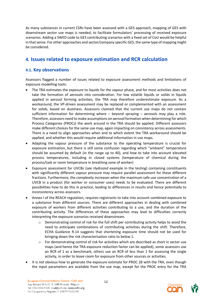As many substances in current CSRs have been assessed with a GES approach, mapping of GES with downstream sector use maps is needed, to facilitate formulators' processing of received exposure scenarios. Adding a SWED code to GES contributing scenarios with a fixed set of CoU would be helpful in that sense. For other approaches and sector/company specific GES, the same type of mapping might be considered.

# <span id="page-13-0"></span>**4. Issues related to exposure estimation and RCR calculation**

### <span id="page-13-1"></span>**4.1. Key observations**

Assessors flagged a number of issues related to exposure assessment methods and limitations of exposure modelling tools:

- The TRA estimates the exposure to liquids for the vapour phase, and for most activities does not take the formation of aerosols into consideration. For low volatile liquids or solids in liquids applied in aerosol forming activities, the TRA may therefore underestimate exposure. As a workaround, the VP-driven assessment may be replaced or complemented with an assessment for solids, based on dustiness. Assessors claimed that the current use maps do not contain sufficient information for determining where – beyond spraying – aerosols may play a role. Therefore, assessors need to make assumptions on aerosol formation when determining for which Process Categories (PROCs) the work around in the TRA should be applied. Different assessors make different choices for the same use map, again impacting on consistency across assessments. There is a need to align approaches when and to which extent the TRA workaround should be applied, and whether this would require additional information in use maps.
- Adapting the vapour pressure of the substance to the operating temperature is crucial for exposure estimation, but there is still some confusion regarding which "ambient" temperature should be assumed by default (in the range up to 40), and how to take into account elevated process temperatures, including in closed systems (temperature of chemical during the process/task or room temperature in breathing zone of worker)
- Exposure assessment for UVCBs (see *Hydrozed* example in the testing) containing constituents with significantly different vapour pressure may require parallel assessment for these different fractions. Furthermore, the complexity increases when the maximum safe use concentration of a UVCB in a product (for worker or consumer uses) needs to be evaluated. There are different possibilities how to do this in practice, leading to differences in results and hence potentially to inconsistency across assessors.
- Annex I of the REACH regulation, requires registrants to take into account combined exposure to a substance from different sources. There are different approaches in dealing with combined exposure of workers from different activities contributing to a use, and the duration of the contributing activity. The differences of these approaches may lead to difficulties correctly interpreting the exposure scenarios received downstream.
	- o Demonstrating control of risk for the full shift per contributing activity helps to avoid the need to anticipate combinations of contributing activities during the shift. Therefore, ECHA Guidance R.14 suggests that shortening exposure time should not be used for bringing down the risk characterisation ratio to below 1.
	- o For demonstrating control of risk for activities which are described as short in sector use maps (and hence the TRA exposure reduction factor can be applied), some assessors use an RCR of 1 as a benchmark, others use an RCR of less than 1 for assessing the single activity, in order to leave room for exposure from other sources or activities.
- It is not obvious how to generate the exposure estimate for PROC 28 with the TRA, even though the input parameters are available from the use map, except for the PROC entry for the TRA

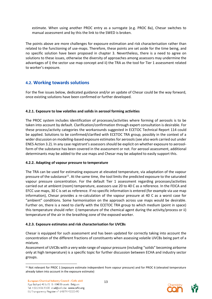estimate. When using another PROC entry as a surrogate (e.g. PROC 8a), Chesar switches to manual assessment and by this the link to the SWED is broken.

The points above are more challenges for exposure estimation and risk characterisation rather than related to the functioning of use-maps. Therefore, these points are set aside for the time being, and no specific solution have been proposed in chapter 3. Nevertheless, there is a need to agree on solutions to these issues, otherwise the diversity of approaches among assessors may undermine the advantages of i) the sector use map concept and ii) the TRA as the tool for Tier 1 assessment related to worker's exposure.

### <span id="page-14-0"></span>**4.2. Working towards solutions**

For the five issues below, dedicated guidance and/or an update of Chesar could be the way forward, once existing solutions have been confirmed or further developed.

#### <span id="page-14-1"></span>**4.2.1. Exposure to low volatiles and solids in aerosol forming activities**

The PROC system includes identification of processes/activities where forming of aerosols is to be taken into account by default. Clarification/confirmation through expert consultation is desirable. For these process/activity categories the workarounds suggested in ECETOC Technical Report 114 could be applied. Solutions to be confirmed/clarified with ECETOC TRA group, possibly in the context of a wider discussion on modelling-based exposure estimates for aerosols (see also work carried out under ENES Action 3.2). In any case registrant's assessors should be explicit on whether exposure to aerosolform of the substance has been covered in the assessment or not. For aerosol assessment, additional determinants may be added to the use maps and Chesar may be adapted to easily support this.

#### <span id="page-14-2"></span>**4.2.2. Adapting of vapour pressure to temperature**

The TRA can be used for estimating exposure at elevated temperature, via adaptation of the vapour pressure of the substance<sup>11</sup>. At the same time, the tool limits the predicted exposure to the saturated vapour pressure concentration. For the default Tier 1 assessment regarding processes/activities carried out at ambient (room) temperature, assessors use 20 to 40 C as a reference. In the FEICA and EFCC use maps, 30 C is set as reference. If no specific information is entered (for example via use map information), Chesar provides a re-calculation of the vapour pressure at 40 C as a worst case for "ambient" conditions. Some harmonisation on the approach across use maps would be desirable. Further on, there is a need to clarify with the ECETOC TRA group to which medium (point in space) this temperature should refer: i) temperature of the chemical agent during the activity/process or ii) temperature of the air in the breathing zone of the exposed worker.

#### <span id="page-14-3"></span>**4.2.3. Exposure estimates and risk characterisation for UVCBs**

Chesar is equipped for such assessment and has been updated for correctly taking into account the concentration of the different fractions of constituents when assessing volatile UVCBs being part of a mixture.

Assessment of UVCBs with a very wide range of vapour pressure (including "solids" becoming airborne only at high temperature) is a specific topic for further discussion between ECHA and industry sector groups.



**<sup>.</sup>** <sup>11</sup> Not relevant for PROC 1 (exposure estimate independent from vapour pressure) and for PROC 6 (elevated temperature already taken into account in the exposure estimate)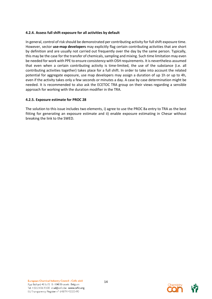#### <span id="page-15-0"></span>**4.2.4. Assess full shift exposure for all activities by default**

In general, control of risk should be demonstrated per contributing activity for full shift exposure time. However, sector **use-map developers** may explicitly flag certain contributing activities that are short by definition and are usually not carried out frequently over the day by the same person. Typically, this may be the case for the transfer of chemicals, sampling and mixing. Such time limitation may even be needed for work with PPE to ensure consistency with OSH requirements. It is nevertheless assumed that even when a certain contributing activity is time-limited, the use of the substance (i.e. all contributing activities together) takes place for a full shift. In order to take into account the related potential for aggregate exposure, use map developers may assign a duration of up 1h or up to 4h, even if the activity takes only a few seconds or minutes a day. A case by case determination might be needed. It is recommended to also ask the ECETOC TRA group on their views regarding a sensible approach for working with the duration modifier in the TRA.

#### <span id="page-15-1"></span>**4.2.5. Exposure estimate for PROC 28**

The solution to this issue includes two elements, i) agree to use the PROC 8a entry to TRA as the best fitting for generating an exposure estimate and ii) enable exposure estimating in Chesar without breaking the link to the SWED.

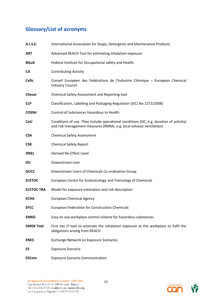# <span id="page-16-0"></span>**Glossary/List of acronyms**

| A.I.S.E.          | International Association for Soaps, Detergents and Maintenance Products                                                                                      |
|-------------------|---------------------------------------------------------------------------------------------------------------------------------------------------------------|
| ART               | Advanced REACH Tool for estimating inhalation exposure                                                                                                        |
| <b>BAuA</b>       | Federal Institute for Occupational safety and Health                                                                                                          |
| СA                | <b>Contributing Activity</b>                                                                                                                                  |
| <b>Cefic</b>      | Conseil Européen des Fédérations de l'Industrie Chimique - European Chemical<br><b>Industry Council</b>                                                       |
| Chesar            | Chemical Safety Assessment and Reporting tool                                                                                                                 |
| <b>CLP</b>        | Classification, Labelling and Packaging Regulation ((EC) No 1272/2008)                                                                                        |
| <b>COSSH</b>      | Control of Substances Hazardous to Health                                                                                                                     |
| CoU               | Conditions of use. They include operational conditions (OC, e.g. duration of activity)<br>and risk management measures (RMMs, e.g. local exhaust ventilation) |
| <b>CSA</b>        | <b>Chemical Safety Assessment</b>                                                                                                                             |
| <b>CSR</b>        | <b>Chemical Safety Report</b>                                                                                                                                 |
| <b>DNEL</b>       | Derived No-Effect Level                                                                                                                                       |
| DU                | Downstream User                                                                                                                                               |
| <b>DUCC</b>       | Downstream Users of Chemicals Co-ordination Group                                                                                                             |
| <b>ECETOC</b>     | European Centre for Ecotoxicology and Toxicology of Chemicals                                                                                                 |
| <b>ECETOC TRA</b> | Model for exposure estimation and risk description                                                                                                            |
| <b>ECHA</b>       | <b>European Chemical Agency</b>                                                                                                                               |
| <b>EFCC</b>       | European Federation for Construction Chemicals                                                                                                                |
| <b>EMKG</b>       | Easy-to-use workplace control scheme for hazardous substances                                                                                                 |
| <b>EMGK Tool</b>  | First tier IT-tool to estimate the inhalation exposure at the workplace to fulfil the<br>obligations arising from REACH                                       |
| <b>ENES</b>       | <b>Exchange Network on Exposure Scenarios</b>                                                                                                                 |
| ES                | <b>Exposure Scenario</b>                                                                                                                                      |
| <b>ESCom</b>      | <b>Exposure Scenario Communication</b>                                                                                                                        |

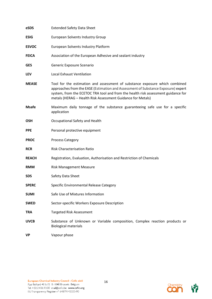| eSDS         | <b>Extended Safety Data Sheet</b>                                                                                                                                                                                                                                                                                    |
|--------------|----------------------------------------------------------------------------------------------------------------------------------------------------------------------------------------------------------------------------------------------------------------------------------------------------------------------|
| <b>ESIG</b>  | <b>European Solvents Industry Group</b>                                                                                                                                                                                                                                                                              |
| <b>ESVOC</b> | European Solvents Industry Platform                                                                                                                                                                                                                                                                                  |
| <b>FEICA</b> | Association of the European Adhesive and sealant industry                                                                                                                                                                                                                                                            |
| <b>GES</b>   | Generic Exposure Scenario                                                                                                                                                                                                                                                                                            |
| <b>LEV</b>   | <b>Local Exhaust Ventilation</b>                                                                                                                                                                                                                                                                                     |
| <b>MEASE</b> | Tool for the estimation and assessment of substance exposure which combined<br>approaches from the EASE (Estimation and Assessment of Substance Exposure) expert<br>system, from the ECETOC TRA tool and from the health risk assessment guidance for<br>metals (HERAG - Health Risk Assessment Guidance for Metals) |
| <b>Msafe</b> | Maximum daily tonnage of the substance guaranteeing safe use for a specific<br>application                                                                                                                                                                                                                           |
| <b>OSH</b>   | Occupational Safety and Health                                                                                                                                                                                                                                                                                       |
| <b>PPE</b>   | Personal protective equipment                                                                                                                                                                                                                                                                                        |
| <b>PROC</b>  | Process Category                                                                                                                                                                                                                                                                                                     |
| <b>RCR</b>   | <b>Risk Characterisation Ratio</b>                                                                                                                                                                                                                                                                                   |
| <b>REACH</b> | Registration, Evaluation, Authorisation and Restriction of Chemicals                                                                                                                                                                                                                                                 |
| <b>RMM</b>   | <b>Risk Management Measure</b>                                                                                                                                                                                                                                                                                       |
| <b>SDS</b>   | Safety Data Sheet                                                                                                                                                                                                                                                                                                    |
| <b>SPERC</b> | Specific Environmental Release Category                                                                                                                                                                                                                                                                              |
| <b>SUMI</b>  | Safe Use of Mixtures Information                                                                                                                                                                                                                                                                                     |
| <b>SWED</b>  | Sector-specific Workers Exposure Description                                                                                                                                                                                                                                                                         |
| <b>TRA</b>   | <b>Targeted Risk Assessment</b>                                                                                                                                                                                                                                                                                      |
| <b>UVCB</b>  | Substance of Unknown or Variable composition, Complex reaction products or<br><b>Biological materials</b>                                                                                                                                                                                                            |
| <b>VP</b>    | Vapour phase                                                                                                                                                                                                                                                                                                         |